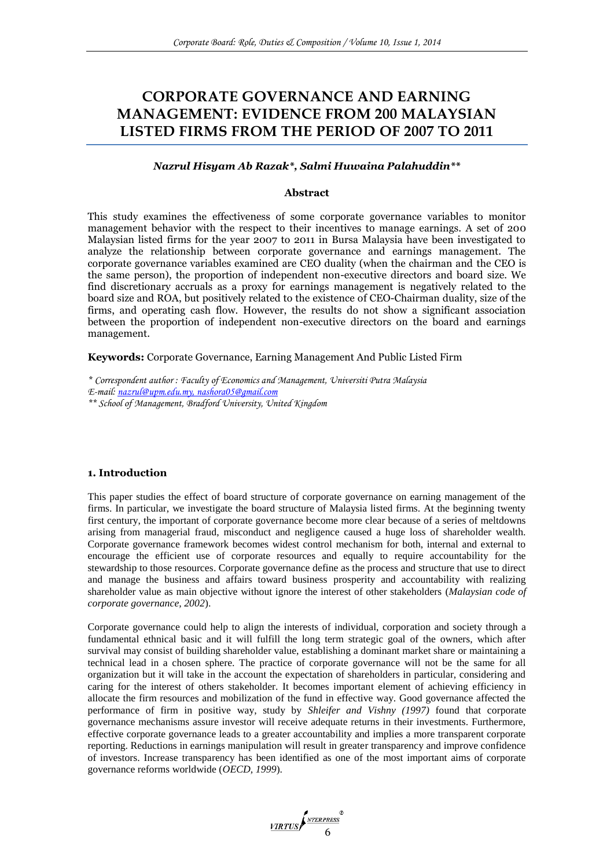# **CORPORATE GOVERNANCE AND EARNING MANAGEMENT: EVIDENCE FROM 200 MALAYSIAN LISTED FIRMS FROM THE PERIOD OF 2007 TO 2011**

# *Nazrul Hisyam Ab Razak\*, Salmi Huwaina Palahuddin\*\**

## **Abstract**

This study examines the effectiveness of some corporate governance variables to monitor management behavior with the respect to their incentives to manage earnings. A set of 200 Malaysian listed firms for the year 2007 to 2011 in Bursa Malaysia have been investigated to analyze the relationship between corporate governance and earnings management. The corporate governance variables examined are CEO duality (when the chairman and the CEO is the same person), the proportion of independent non-executive directors and board size. We find discretionary accruals as a proxy for earnings management is negatively related to the board size and ROA, but positively related to the existence of CEO-Chairman duality, size of the firms, and operating cash flow. However, the results do not show a significant association between the proportion of independent non-executive directors on the board and earnings management.

**Keywords:** Corporate Governance, Earning Management And Public Listed Firm

*\* Correspondent author : Faculty of Economics and Management, Universiti Putra Malaysia*

*E-mail: [nazrul@upm.edu.my, nashora05@gmail.com](mailto:nazrul@upm.edu.my,%20nashora05@gmail.com)*

*\*\* School of Management, Bradford University, United Kingdom*

#### **1. Introduction**

This paper studies the effect of board structure of corporate governance on earning management of the firms. In particular, we investigate the board structure of Malaysia listed firms. At the beginning twenty first century, the important of corporate governance become more clear because of a series of meltdowns arising from managerial fraud, misconduct and negligence caused a huge loss of shareholder wealth. Corporate governance framework becomes widest control mechanism for both, internal and external to encourage the efficient use of corporate resources and equally to require accountability for the stewardship to those resources. Corporate governance define as the process and structure that use to direct and manage the business and affairs toward business prosperity and accountability with realizing shareholder value as main objective without ignore the interest of other stakeholders (*Malaysian code of corporate governance, 2002*).

Corporate governance could help to align the interests of individual, corporation and society through a fundamental ethnical basic and it will fulfill the long term strategic goal of the owners, which after survival may consist of building shareholder value, establishing a dominant market share or maintaining a technical lead in a chosen sphere. The practice of corporate governance will not be the same for all organization but it will take in the account the expectation of shareholders in particular, considering and caring for the interest of others stakeholder. It becomes important element of achieving efficiency in allocate the firm resources and mobilization of the fund in effective way. Good governance affected the performance of firm in positive way, study by *Shleifer and Vishny (1997)* found that corporate governance mechanisms assure investor will receive adequate returns in their investments. Furthermore, effective corporate governance leads to a greater accountability and implies a more transparent corporate reporting. Reductions in earnings manipulation will result in greater transparency and improve confidence of investors. Increase transparency has been identified as one of the most important aims of corporate governance reforms worldwide (*OECD, 1999*).

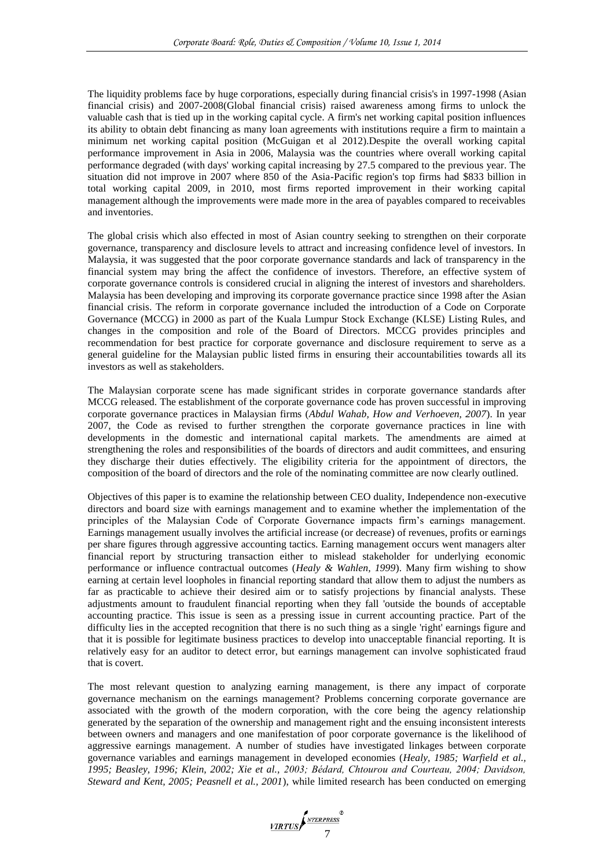The liquidity problems face by huge corporations, especially during financial crisis's in 1997-1998 (Asian financial crisis) and 2007-2008(Global financial crisis) raised awareness among firms to unlock the valuable cash that is tied up in the working capital cycle. A firm's net working capital position influences its ability to obtain debt financing as many loan agreements with institutions require a firm to maintain a minimum net working capital position (McGuigan et al 2012).Despite the overall working capital performance improvement in Asia in 2006, Malaysia was the countries where overall working capital performance degraded (with days' working capital increasing by 27.5 compared to the previous year. The situation did not improve in 2007 where 850 of the Asia-Pacific region's top firms had \$833 billion in total working capital 2009, in 2010, most firms reported improvement in their working capital management although the improvements were made more in the area of payables compared to receivables and inventories.

The global crisis which also effected in most of Asian country seeking to strengthen on their corporate governance, transparency and disclosure levels to attract and increasing confidence level of investors. In Malaysia, it was suggested that the poor corporate governance standards and lack of transparency in the financial system may bring the affect the confidence of investors. Therefore, an effective system of corporate governance controls is considered crucial in aligning the interest of investors and shareholders. Malaysia has been developing and improving its corporate governance practice since 1998 after the Asian financial crisis. The reform in corporate governance included the introduction of a Code on Corporate Governance (MCCG) in 2000 as part of the Kuala Lumpur Stock Exchange (KLSE) Listing Rules, and changes in the composition and role of the Board of Directors. MCCG provides principles and recommendation for best practice for corporate governance and disclosure requirement to serve as a general guideline for the Malaysian public listed firms in ensuring their accountabilities towards all its investors as well as stakeholders.

The Malaysian corporate scene has made significant strides in corporate governance standards after MCCG released. The establishment of the corporate governance code has proven successful in improving corporate governance practices in Malaysian firms (*Abdul Wahab, How and Verhoeven, 2007*). In year 2007, the Code as revised to further strengthen the corporate governance practices in line with developments in the domestic and international capital markets. The amendments are aimed at strengthening the roles and responsibilities of the boards of directors and audit committees, and ensuring they discharge their duties effectively. The eligibility criteria for the appointment of directors, the composition of the board of directors and the role of the nominating committee are now clearly outlined.

Objectives of this paper is to examine the relationship between CEO duality, Independence non-executive directors and board size with earnings management and to examine whether the implementation of the principles of the Malaysian Code of Corporate Governance impacts firm's earnings management. Earnings management usually involves the artificial increase (or decrease) of revenues, profits or earnings per share figures through aggressive accounting tactics. Earning management occurs went managers alter financial report by structuring transaction either to mislead stakeholder for underlying economic performance or influence contractual outcomes (*Healy & Wahlen, 1999*). Many firm wishing to show earning at certain level loopholes in financial reporting standard that allow them to adjust the numbers as far as practicable to achieve their desired aim or to satisfy projections by financial analysts. These adjustments amount to fraudulent financial reporting when they fall 'outside the bounds of acceptable accounting practice. This issue is seen as a pressing issue in current accounting practice. Part of the difficulty lies in the accepted recognition that there is no such thing as a single 'right' earnings figure and that it is possible for legitimate business practices to develop into unacceptable financial reporting. It is relatively easy for an auditor to detect error, but earnings management can involve sophisticated fraud that is covert.

The most relevant question to analyzing earning management, is there any impact of corporate governance mechanism on the earnings management? Problems concerning corporate governance are associated with the growth of the modern corporation, with the core being the agency relationship generated by the separation of the ownership and management right and the ensuing inconsistent interests between owners and managers and one manifestation of poor corporate governance is the likelihood of aggressive earnings management. A number of studies have investigated linkages between corporate governance variables and earnings management in developed economies (*Healy, 1985; Warfield et al., 1995; Beasley, 1996; Klein, 2002; Xie et al., 2003; Bédard, Chtourou and Courteau, 2004; Davidson, Steward and Kent, 2005; Peasnell et al., 2001*), while limited research has been conducted on emerging

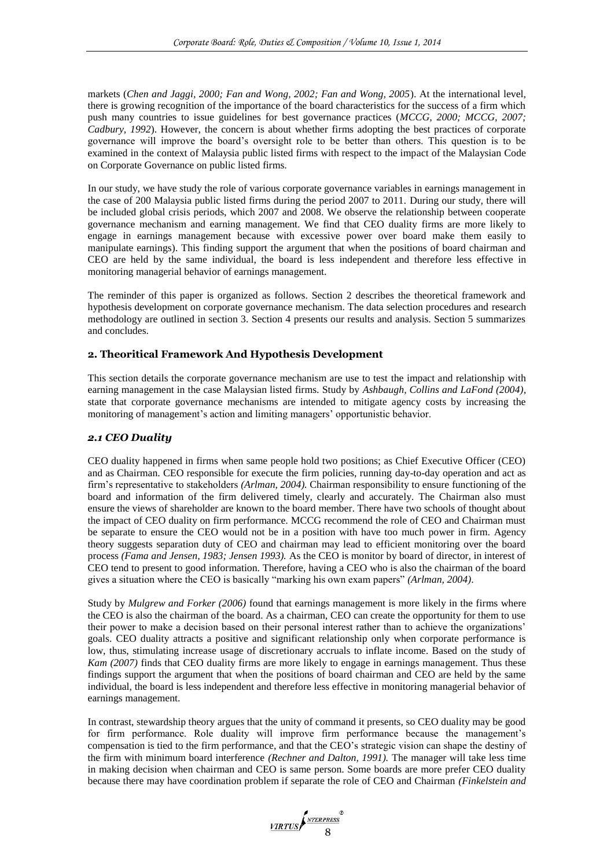markets (*Chen and Jaggi, 2000; Fan and Wong, 2002; Fan and Wong, 2005*). At the international level, there is growing recognition of the importance of the board characteristics for the success of a firm which push many countries to issue guidelines for best governance practices (*MCCG, 2000; MCCG, 2007; Cadbury, 1992*). However, the concern is about whether firms adopting the best practices of corporate governance will improve the board's oversight role to be better than others. This question is to be examined in the context of Malaysia public listed firms with respect to the impact of the Malaysian Code on Corporate Governance on public listed firms.

In our study, we have study the role of various corporate governance variables in earnings management in the case of 200 Malaysia public listed firms during the period 2007 to 2011. During our study, there will be included global crisis periods, which 2007 and 2008. We observe the relationship between cooperate governance mechanism and earning management. We find that CEO duality firms are more likely to engage in earnings management because with excessive power over board make them easily to manipulate earnings). This finding support the argument that when the positions of board chairman and CEO are held by the same individual, the board is less independent and therefore less effective in monitoring managerial behavior of earnings management.

The reminder of this paper is organized as follows. Section 2 describes the theoretical framework and hypothesis development on corporate governance mechanism. The data selection procedures and research methodology are outlined in section 3. Section 4 presents our results and analysis. Section 5 summarizes and concludes.

## **2. Theoritical Framework And Hypothesis Development**

This section details the corporate governance mechanism are use to test the impact and relationship with earning management in the case Malaysian listed firms. Study by *Ashbaugh, Collins and LaFond (2004)*, state that corporate governance mechanisms are intended to mitigate agency costs by increasing the monitoring of management's action and limiting managers' opportunistic behavior.

## *2.1 CEO Duality*

CEO duality happened in firms when same people hold two positions; as Chief Executive Officer (CEO) and as Chairman. CEO responsible for execute the firm policies, running day-to-day operation and act as firm's representative to stakeholders *(Arlman, 2004).* Chairman responsibility to ensure functioning of the board and information of the firm delivered timely, clearly and accurately. The Chairman also must ensure the views of shareholder are known to the board member. There have two schools of thought about the impact of CEO duality on firm performance. MCCG recommend the role of CEO and Chairman must be separate to ensure the CEO would not be in a position with have too much power in firm. Agency theory suggests separation duty of CEO and chairman may lead to efficient monitoring over the board process *(Fama and Jensen, 1983; Jensen 1993).* As the CEO is monitor by board of director, in interest of CEO tend to present to good information. Therefore, having a CEO who is also the chairman of the board gives a situation where the CEO is basically "marking his own exam papers" *(Arlman, 2004)*.

Study by *Mulgrew and Forker (2006)* found that earnings management is more likely in the firms where the CEO is also the chairman of the board. As a chairman, CEO can create the opportunity for them to use their power to make a decision based on their personal interest rather than to achieve the organizations' goals. CEO duality attracts a positive and significant relationship only when corporate performance is low, thus, stimulating increase usage of discretionary accruals to inflate income. Based on the study of *Kam (2007)* finds that CEO duality firms are more likely to engage in earnings management. Thus these findings support the argument that when the positions of board chairman and CEO are held by the same individual, the board is less independent and therefore less effective in monitoring managerial behavior of earnings management.

In contrast, stewardship theory argues that the unity of command it presents, so CEO duality may be good for firm performance. Role duality will improve firm performance because the management's compensation is tied to the firm performance, and that the CEO's strategic vision can shape the destiny of the firm with minimum board interference *(Rechner and Dalton, 1991).* The manager will take less time in making decision when chairman and CEO is same person. Some boards are more prefer CEO duality because there may have coordination problem if separate the role of CEO and Chairman *(Finkelstein and* 

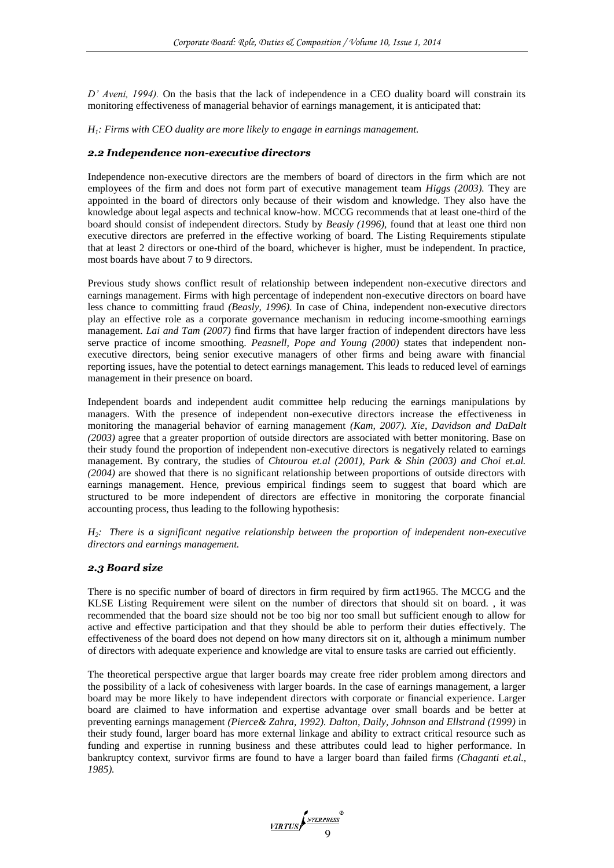*D' Aveni, 1994).* On the basis that the lack of independence in a CEO duality board will constrain its monitoring effectiveness of managerial behavior of earnings management, it is anticipated that:

*H1: Firms with CEO duality are more likely to engage in earnings management.*

## *2.2 Independence non-executive directors*

Independence non-executive directors are the members of board of directors in the firm which are not employees of the firm and does not form part of executive management team *Higgs (2003).* They are appointed in the board of directors only because of their wisdom and knowledge. They also have the knowledge about legal aspects and technical know-how. MCCG recommends that at least one-third of the board should consist of independent directors. Study by *Beasly (1996),* found that at least one third non executive directors are preferred in the effective working of board. The Listing Requirements stipulate that at least 2 directors or one-third of the board, whichever is higher, must be independent. In practice, most boards have about 7 to 9 directors.

Previous study shows conflict result of relationship between independent non-executive directors and earnings management. Firms with high percentage of independent non-executive directors on board have less chance to committing fraud *(Beasly, 1996).* In case of China, independent non-executive directors play an effective role as a corporate governance mechanism in reducing income-smoothing earnings management. *Lai and Tam (2007)* find firms that have larger fraction of independent directors have less serve practice of income smoothing. *Peasnell, Pope and Young (2000)* states that independent nonexecutive directors, being senior executive managers of other firms and being aware with financial reporting issues, have the potential to detect earnings management. This leads to reduced level of earnings management in their presence on board.

Independent boards and independent audit committee help reducing the earnings manipulations by managers. With the presence of independent non-executive directors increase the effectiveness in monitoring the managerial behavior of earning management *(Kam, 2007). Xie, Davidson and DaDalt (2003)* agree that a greater proportion of outside directors are associated with better monitoring. Base on their study found the proportion of independent non-executive directors is negatively related to earnings management. By contrary, the studies of *Chtourou et.al (2001), Park & Shin (2003) and Choi et.al. (2004)* are showed that there is no significant relationship between proportions of outside directors with earnings management. Hence, previous empirical findings seem to suggest that board which are structured to be more independent of directors are effective in monitoring the corporate financial accounting process, thus leading to the following hypothesis:

*H2: There is a significant negative relationship between the proportion of independent non-executive directors and earnings management.*

## *2.3 Board size*

There is no specific number of board of directors in firm required by firm act1965. The MCCG and the KLSE Listing Requirement were silent on the number of directors that should sit on board. , it was recommended that the board size should not be too big nor too small but sufficient enough to allow for active and effective participation and that they should be able to perform their duties effectively. The effectiveness of the board does not depend on how many directors sit on it, although a minimum number of directors with adequate experience and knowledge are vital to ensure tasks are carried out efficiently.

The theoretical perspective argue that larger boards may create free rider problem among directors and the possibility of a lack of cohesiveness with larger boards. In the case of earnings management, a larger board may be more likely to have independent directors with corporate or financial experience. Larger board are claimed to have information and expertise advantage over small boards and be better at preventing earnings management *(Pierce& Zahra, 1992). Dalton, Daily, Johnson and Ellstrand (1999)* in their study found, larger board has more external linkage and ability to extract critical resource such as funding and expertise in running business and these attributes could lead to higher performance. In bankruptcy context, survivor firms are found to have a larger board than failed firms *(Chaganti et.al., 1985).*

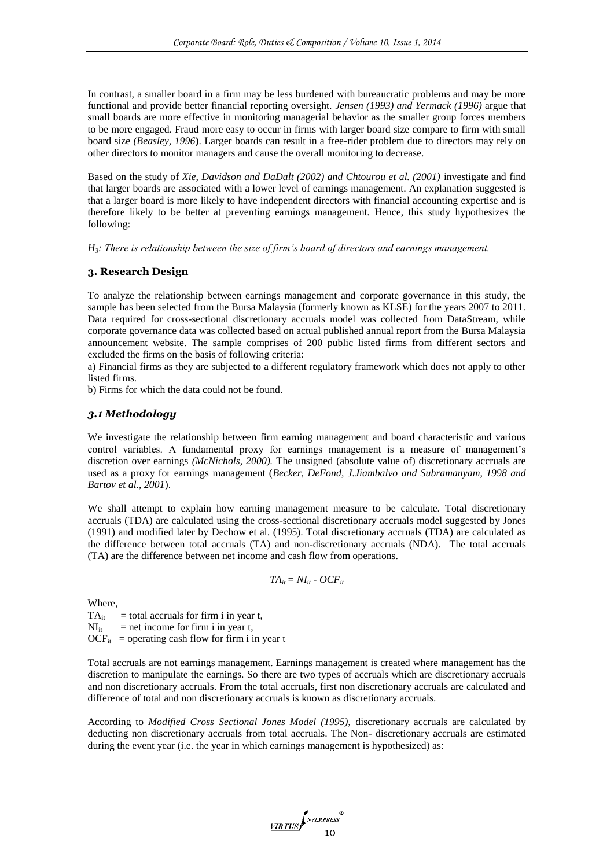In contrast, a smaller board in a firm may be less burdened with bureaucratic problems and may be more functional and provide better financial reporting oversight. *Jensen (1993) and Yermack (1996)* argue that small boards are more effective in monitoring managerial behavior as the smaller group forces members to be more engaged. Fraud more easy to occur in firms with larger board size compare to firm with small board size *(Beasley, 1996***)**. Larger boards can result in a free-rider problem due to directors may rely on other directors to monitor managers and cause the overall monitoring to decrease.

Based on the study of *Xie, Davidson and DaDalt (2002) and Chtourou et al. (2001)* investigate and find that larger boards are associated with a lower level of earnings management. An explanation suggested is that a larger board is more likely to have independent directors with financial accounting expertise and is therefore likely to be better at preventing earnings management. Hence, this study hypothesizes the following:

*H3: There is relationship between the size of firm's board of directors and earnings management.*

#### **3. Research Design**

To analyze the relationship between earnings management and corporate governance in this study, the sample has been selected from the Bursa Malaysia (formerly known as KLSE) for the years 2007 to 2011. Data required for cross-sectional discretionary accruals model was collected from DataStream, while corporate governance data was collected based on actual published annual report from the Bursa Malaysia announcement website. The sample comprises of 200 public listed firms from different sectors and excluded the firms on the basis of following criteria:

a) Financial firms as they are subjected to a different regulatory framework which does not apply to other listed firms.

b) Firms for which the data could not be found.

## *3.1 Methodology*

We investigate the relationship between firm earning management and board characteristic and various control variables. A fundamental proxy for earnings management is a measure of management's discretion over earnings *(McNichols, 2000).* The unsigned (absolute value of) discretionary accruals are used as a proxy for earnings management (*Becker, DeFond, J.Jiambalvo and Subramanyam, 1998 and Bartov et al., 2001*).

We shall attempt to explain how earning management measure to be calculate. Total discretionary accruals (TDA) are calculated using the cross-sectional discretionary accruals model suggested by Jones (1991) and modified later by Dechow et al. (1995). Total discretionary accruals (TDA) are calculated as the difference between total accruals (TA) and non-discretionary accruals (NDA). The total accruals (TA) are the difference between net income and cash flow from operations.

$$
TA_{it} = NI_{it} - OCF_{it}
$$

Where,

 $TA_{it}$  = total accruals for firm i in year t,  $NI_{it}$  = net income for firm i in year t,

 $OCF_{it}$  = operating cash flow for firm i in year t

Total accruals are not earnings management. Earnings management is created where management has the discretion to manipulate the earnings. So there are two types of accruals which are discretionary accruals and non discretionary accruals. From the total accruals, first non discretionary accruals are calculated and difference of total and non discretionary accruals is known as discretionary accruals.

According to *Modified Cross Sectional Jones Model (1995),* discretionary accruals are calculated by deducting non discretionary accruals from total accruals. The Non- discretionary accruals are estimated during the event year (i.e. the year in which earnings management is hypothesized) as:

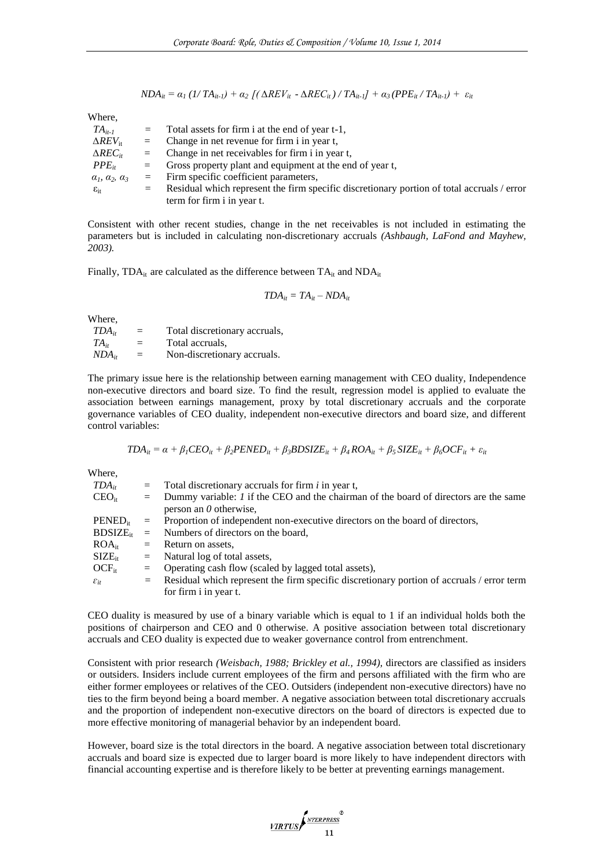$$
NDA_{it} = \alpha_1 (1/TA_{it-1}) + \alpha_2 \left[ (\Delta REV_{it} - \Delta REC_{it})/TA_{it-1} + \alpha_3 (PPE_{it}/TA_{it-1}) + \varepsilon_{it} \right]
$$

Where,

| $TA_{it-1}$                          | $=$      | Total assets for firm i at the end of year t-1,                                            |
|--------------------------------------|----------|--------------------------------------------------------------------------------------------|
| $\Delta REV_{\rm ir}$                | $=$      | Change in net revenue for firm i in year t,                                                |
| $\triangle REC_{ir}$                 | $=$      | Change in net receivables for firm i in year t,                                            |
| $PPE_{it}$                           | $=$      | Gross property plant and equipment at the end of year t,                                   |
| $\alpha_1$ , $\alpha_2$ , $\alpha_3$ | $\equiv$ | Firm specific coefficient parameters,                                                      |
| $\varepsilon_{\rm ir}$               | $=$      | Residual which represent the firm specific discretionary portion of total accruals / error |
|                                      |          | term for firm i in year t.                                                                 |

Consistent with other recent studies, change in the net receivables is not included in estimating the parameters but is included in calculating non-discretionary accruals *(Ashbaugh, LaFond and Mayhew, 2003).*

Finally, TDA<sub>it</sub> are calculated as the difference between  $TA_{it}$  and  $NDA_{it}$ 

$$
TDA_{it} = TA_{it} - NDA_{it}
$$

Where,

| $TDA_{it}$ | $=$ | Total discretionary accruals, |
|------------|-----|-------------------------------|
| $TA_{it}$  | $=$ | Total accruals.               |
| $NDA_{it}$ | $=$ | Non-discretionary accruals.   |

The primary issue here is the relationship between earning management with CEO duality, Independence non-executive directors and board size. To find the result, regression model is applied to evaluate the association between earnings management, proxy by total discretionary accruals and the corporate governance variables of CEO duality, independent non-executive directors and board size, and different control variables:

$$
TDA_{it} = \alpha + \beta_1 CEO_{it} + \beta_2 PENED_{it} + \beta_3 BDSIZE_{it} + \beta_4 ROA_{it} + \beta_5 SIZE_{it} + \beta_6 OCF_{it} + \varepsilon_{it}
$$

Where,

| $TDA_{it}$                | $=$ Total discretionary accruals for firm <i>i</i> in year t,                                   |  |  |  |  |  |
|---------------------------|-------------------------------------------------------------------------------------------------|--|--|--|--|--|
| $CEO_{it}$                | $=$ Dummy variable: <i>I</i> if the CEO and the chairman of the board of directors are the same |  |  |  |  |  |
|                           | person an $\theta$ otherwise.                                                                   |  |  |  |  |  |
| $PENED_{it}$              | $=$ Proportion of independent non-executive directors on the board of directors,                |  |  |  |  |  |
|                           | $BDSIZE_{it}$ = Numbers of directors on the board,                                              |  |  |  |  |  |
| $ROA_{ir}$                | $=$ Return on assets.                                                                           |  |  |  |  |  |
| $\text{SIZE}_{\text{it}}$ | $=$ Natural log of total assets,                                                                |  |  |  |  |  |
| $OCF_{it}$                | $=$ Operating cash flow (scaled by lagged total assets),                                        |  |  |  |  |  |
| $\varepsilon_{it}$        | $=$ Residual which represent the firm specific discretionary portion of accruals / error term   |  |  |  |  |  |
|                           | for firm i in year t.                                                                           |  |  |  |  |  |

CEO duality is measured by use of a binary variable which is equal to 1 if an individual holds both the positions of chairperson and CEO and 0 otherwise. A positive association between total discretionary accruals and CEO duality is expected due to weaker governance control from entrenchment.

Consistent with prior research *(Weisbach, 1988; Brickley et al., 1994),* directors are classified as insiders or outsiders. Insiders include current employees of the firm and persons affiliated with the firm who are either former employees or relatives of the CEO. Outsiders (independent non-executive directors) have no ties to the firm beyond being a board member. A negative association between total discretionary accruals and the proportion of independent non-executive directors on the board of directors is expected due to more effective monitoring of managerial behavior by an independent board.

However, board size is the total directors in the board. A negative association between total discretionary accruals and board size is expected due to larger board is more likely to have independent directors with financial accounting expertise and is therefore likely to be better at preventing earnings management.

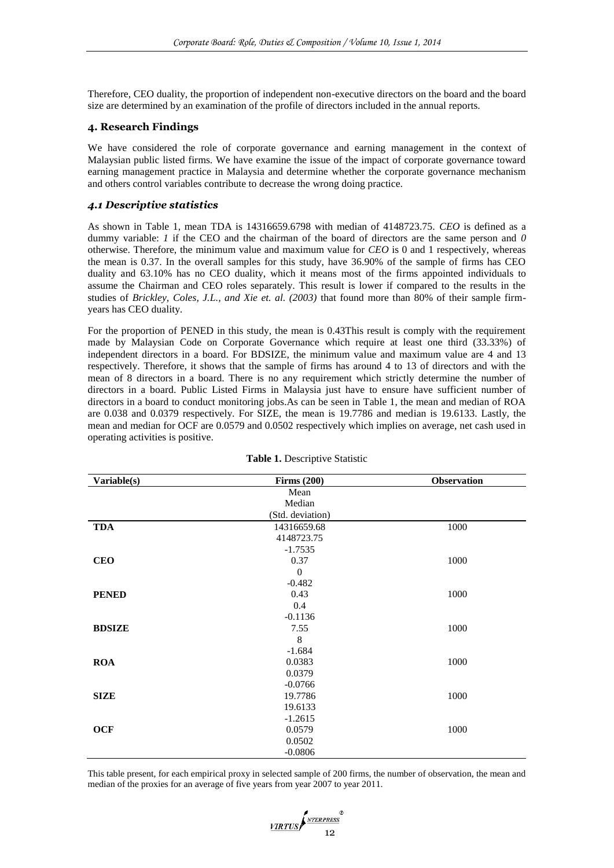Therefore, CEO duality, the proportion of independent non-executive directors on the board and the board size are determined by an examination of the profile of directors included in the annual reports.

## **4. Research Findings**

We have considered the role of corporate governance and earning management in the context of Malaysian public listed firms. We have examine the issue of the impact of corporate governance toward earning management practice in Malaysia and determine whether the corporate governance mechanism and others control variables contribute to decrease the wrong doing practice.

## *4.1 Descriptive statistics*

As shown in Table 1, mean TDA is 14316659.6798 with median of 4148723.75. *CEO* is defined as a dummy variable: *1* if the CEO and the chairman of the board of directors are the same person and *0* otherwise. Therefore, the minimum value and maximum value for *CEO* is 0 and 1 respectively, whereas the mean is 0.37. In the overall samples for this study, have 36.90% of the sample of firms has CEO duality and 63.10% has no CEO duality, which it means most of the firms appointed individuals to assume the Chairman and CEO roles separately. This result is lower if compared to the results in the studies of *Brickley, Coles, J.L., and Xie et. al. (2003)* that found more than 80% of their sample firmyears has CEO duality.

For the proportion of PENED in this study, the mean is 0.43This result is comply with the requirement made by Malaysian Code on Corporate Governance which require at least one third (33.33%) of independent directors in a board. For BDSIZE, the minimum value and maximum value are 4 and 13 respectively. Therefore, it shows that the sample of firms has around 4 to 13 of directors and with the mean of 8 directors in a board. There is no any requirement which strictly determine the number of directors in a board. Public Listed Firms in Malaysia just have to ensure have sufficient number of directors in a board to conduct monitoring jobs.As can be seen in Table 1, the mean and median of ROA are 0.038 and 0.0379 respectively. For SIZE, the mean is 19.7786 and median is 19.6133. Lastly, the mean and median for OCF are 0.0579 and 0.0502 respectively which implies on average, net cash used in operating activities is positive.

| Variable(s)   | Firms $(200)$    | <b>Observation</b> |
|---------------|------------------|--------------------|
|               | Mean             |                    |
|               | Median           |                    |
|               | (Std. deviation) |                    |
| <b>TDA</b>    | 14316659.68      | 1000               |
|               | 4148723.75       |                    |
|               | $-1.7535$        |                    |
| <b>CEO</b>    | 0.37             | 1000               |
|               | $\overline{0}$   |                    |
|               | $-0.482$         |                    |
| <b>PENED</b>  | 0.43             | 1000               |
|               | 0.4              |                    |
|               | $-0.1136$        |                    |
| <b>BDSIZE</b> | 7.55             | 1000               |
|               | 8                |                    |
|               | $-1.684$         |                    |
| <b>ROA</b>    | 0.0383           | 1000               |
|               | 0.0379           |                    |
|               | $-0.0766$        |                    |
| <b>SIZE</b>   | 19.7786          | 1000               |
|               | 19.6133          |                    |
|               | $-1.2615$        |                    |
| <b>OCF</b>    | 0.0579           | 1000               |
|               | 0.0502           |                    |
|               | $-0.0806$        |                    |

#### **Table 1.** Descriptive Statistic

This table present, for each empirical proxy in selected sample of 200 firms, the number of observation, the mean and median of the proxies for an average of five years from year 2007 to year 2011.

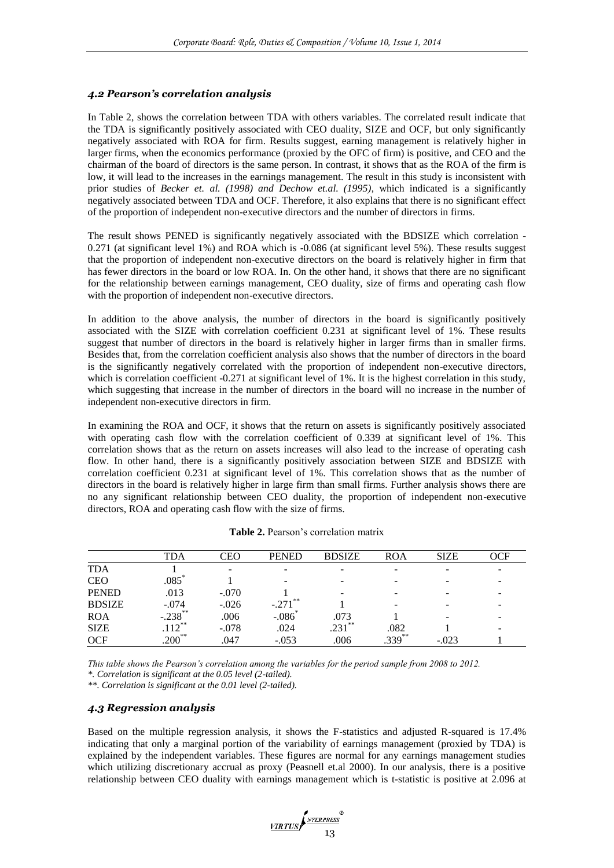#### *4.2 Pearson's correlation analysis*

In Table 2, shows the correlation between TDA with others variables. The correlated result indicate that the TDA is significantly positively associated with CEO duality, SIZE and OCF, but only significantly negatively associated with ROA for firm. Results suggest, earning management is relatively higher in larger firms, when the economics performance (proxied by the OFC of firm) is positive, and CEO and the chairman of the board of directors is the same person. In contrast, it shows that as the ROA of the firm is low, it will lead to the increases in the earnings management. The result in this study is inconsistent with prior studies of *Becker et. al. (1998) and Dechow et.al. (1995)*, which indicated is a significantly negatively associated between TDA and OCF. Therefore, it also explains that there is no significant effect of the proportion of independent non-executive directors and the number of directors in firms.

The result shows PENED is significantly negatively associated with the BDSIZE which correlation - 0.271 (at significant level 1%) and ROA which is -0.086 (at significant level 5%). These results suggest that the proportion of independent non-executive directors on the board is relatively higher in firm that has fewer directors in the board or low ROA. In. On the other hand, it shows that there are no significant for the relationship between earnings management, CEO duality, size of firms and operating cash flow with the proportion of independent non-executive directors.

In addition to the above analysis, the number of directors in the board is significantly positively associated with the SIZE with correlation coefficient 0.231 at significant level of 1%. These results suggest that number of directors in the board is relatively higher in larger firms than in smaller firms. Besides that, from the correlation coefficient analysis also shows that the number of directors in the board is the significantly negatively correlated with the proportion of independent non-executive directors, which is correlation coefficient -0.271 at significant level of 1%. It is the highest correlation in this study, which suggesting that increase in the number of directors in the board will no increase in the number of independent non-executive directors in firm.

In examining the ROA and OCF, it shows that the return on assets is significantly positively associated with operating cash flow with the correlation coefficient of 0.339 at significant level of 1%. This correlation shows that as the return on assets increases will also lead to the increase of operating cash flow. In other hand, there is a significantly positively association between SIZE and BDSIZE with correlation coefficient 0.231 at significant level of 1%. This correlation shows that as the number of directors in the board is relatively higher in large firm than small firms. Further analysis shows there are no any significant relationship between CEO duality, the proportion of independent non-executive directors, ROA and operating cash flow with the size of firms.

|               | ГDA                 | CEO     | <b>PENED</b>  | <b>BDSIZE</b> | ROA       | <b>SIZE</b> | OCF |
|---------------|---------------------|---------|---------------|---------------|-----------|-------------|-----|
| <b>TDA</b>    |                     | -       |               | -             |           | -           |     |
| <b>CEO</b>    | $.085$ <sup>*</sup> |         |               |               |           | -           | -   |
| <b>PENED</b>  | .013                | $-.070$ |               | -             |           |             |     |
| <b>BDSIZE</b> | $-.074$             | $-.026$ | 米米<br>$-.271$ |               |           |             |     |
| <b>ROA</b>    | $-.238$ **          | .006    | $-.086$       | .073          |           | -           |     |
| <b>SIZE</b>   | $12^{**}$           | $-.078$ | .024          | $.231***$     | .082      |             |     |
| <b>OCF</b>    | $.200**$            | .047    | $-.053$       | .006          | $.339***$ | $-.023$     |     |

**Table 2.** Pearson's correlation matrix

*This table shows the Pearson's correlation among the variables for the period sample from 2008 to 2012.*

*\*. Correlation is significant at the 0.05 level (2-tailed).*

*\*\*. Correlation is significant at the 0.01 level (2-tailed).*

#### *4.3 Regression analysis*

Based on the multiple regression analysis, it shows the F-statistics and adjusted R-squared is 17.4% indicating that only a marginal portion of the variability of earnings management (proxied by TDA) is explained by the independent variables. These figures are normal for any earnings management studies which utilizing discretionary accrual as proxy (Peasnell et.al 2000). In our analysis, there is a positive relationship between CEO duality with earnings management which is t-statistic is positive at 2.096 at

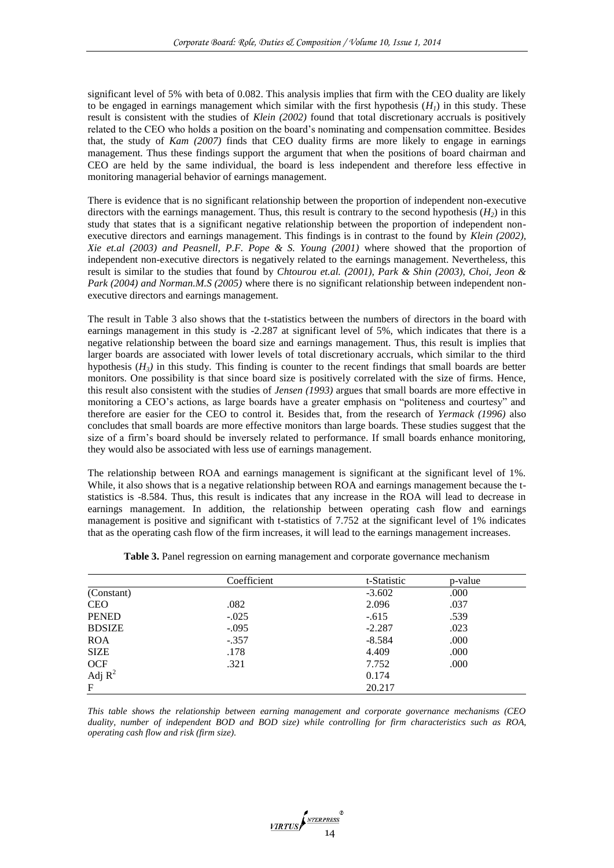significant level of 5% with beta of 0.082. This analysis implies that firm with the CEO duality are likely to be engaged in earnings management which similar with the first hypothesis  $(H<sub>1</sub>)$  in this study. These result is consistent with the studies of *Klein (2002)* found that total discretionary accruals is positively related to the CEO who holds a position on the board's nominating and compensation committee. Besides that, the study of *Kam (2007)* finds that CEO duality firms are more likely to engage in earnings management. Thus these findings support the argument that when the positions of board chairman and CEO are held by the same individual, the board is less independent and therefore less effective in monitoring managerial behavior of earnings management.

There is evidence that is no significant relationship between the proportion of independent non-executive directors with the earnings management. Thus, this result is contrary to the second hypothesis  $(H_2)$  in this study that states that is a significant negative relationship between the proportion of independent nonexecutive directors and earnings management. This findings is in contrast to the found by *Klein (2002)*, *Xie et.al (2003) and Peasnell, P.F. Pope & S. Young (2001)* where showed that the proportion of independent non-executive directors is negatively related to the earnings management. Nevertheless, this result is similar to the studies that found by *Chtourou et.al. (2001), Park & Shin (2003), Choi, Jeon & Park (2004) and Norman.M.S (2005)* where there is no significant relationship between independent nonexecutive directors and earnings management.

The result in Table 3 also shows that the t-statistics between the numbers of directors in the board with earnings management in this study is -2.287 at significant level of 5%, which indicates that there is a negative relationship between the board size and earnings management. Thus, this result is implies that larger boards are associated with lower levels of total discretionary accruals, which similar to the third hypothesis (*H3)* in this study*.* This finding is counter to the recent findings that small boards are better monitors. One possibility is that since board size is positively correlated with the size of firms. Hence, this result also consistent with the studies of *Jensen (1993)* argues that small boards are more effective in monitoring a CEO's actions, as large boards have a greater emphasis on "politeness and courtesy" and therefore are easier for the CEO to control it. Besides that, from the research of *Yermack (1996)* also concludes that small boards are more effective monitors than large boards. These studies suggest that the size of a firm's board should be inversely related to performance. If small boards enhance monitoring, they would also be associated with less use of earnings management.

The relationship between ROA and earnings management is significant at the significant level of 1%. While, it also shows that is a negative relationship between ROA and earnings management because the tstatistics is -8.584. Thus, this result is indicates that any increase in the ROA will lead to decrease in earnings management. In addition, the relationship between operating cash flow and earnings management is positive and significant with t-statistics of 7.752 at the significant level of 1% indicates that as the operating cash flow of the firm increases, it will lead to the earnings management increases.

|               | Coefficient | t-Statistic | p-value |
|---------------|-------------|-------------|---------|
| (Constant)    |             | $-3.602$    | .000    |
| <b>CEO</b>    | .082        | 2.096       | .037    |
| <b>PENED</b>  | $-.025$     | $-.615$     | .539    |
| <b>BDSIZE</b> | $-.095$     | $-2.287$    | .023    |
| <b>ROA</b>    | $-.357$     | $-8.584$    | .000    |
| <b>SIZE</b>   | .178        | 4.409       | .000    |
| <b>OCF</b>    | .321        | 7.752       | .000    |
| Adj $R^2$     |             | 0.174       |         |
| $\mathbf{F}$  |             | 20.217      |         |

**Table 3.** Panel regression on earning management and corporate governance mechanism

*This table shows the relationship between earning management and corporate governance mechanisms (CEO duality, number of independent BOD and BOD size) while controlling for firm characteristics such as ROA, operating cash flow and risk (firm size).* 

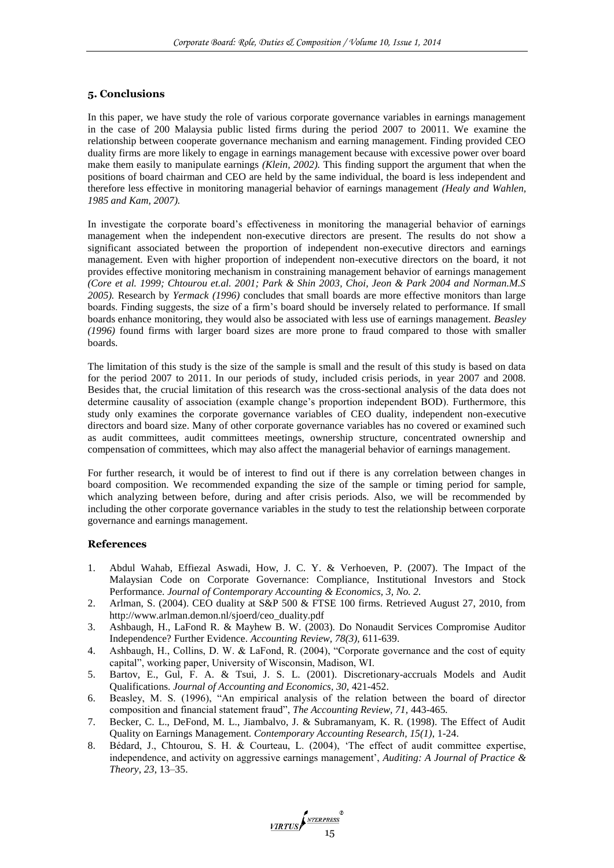### **5. Conclusions**

In this paper, we have study the role of various corporate governance variables in earnings management in the case of 200 Malaysia public listed firms during the period 2007 to 20011. We examine the relationship between cooperate governance mechanism and earning management. Finding provided CEO duality firms are more likely to engage in earnings management because with excessive power over board make them easily to manipulate earnings *(Klein, 2002).* This finding support the argument that when the positions of board chairman and CEO are held by the same individual, the board is less independent and therefore less effective in monitoring managerial behavior of earnings management *(Healy and Wahlen, 1985 and Kam, 2007).*

In investigate the corporate board's effectiveness in monitoring the managerial behavior of earnings management when the independent non-executive directors are present. The results do not show a significant associated between the proportion of independent non-executive directors and earnings management. Even with higher proportion of independent non-executive directors on the board, it not provides effective monitoring mechanism in constraining management behavior of earnings management *(Core et al. 1999; Chtourou et.al. 2001; Park & Shin 2003, Choi, Jeon & Park 2004 and Norman.M.S 2005).* Research by *Yermack (1996)* concludes that small boards are more effective monitors than large boards. Finding suggests, the size of a firm's board should be inversely related to performance. If small boards enhance monitoring, they would also be associated with less use of earnings management. *Beasley (1996)* found firms with larger board sizes are more prone to fraud compared to those with smaller boards.

The limitation of this study is the size of the sample is small and the result of this study is based on data for the period 2007 to 2011. In our periods of study, included crisis periods, in year 2007 and 2008. Besides that, the crucial limitation of this research was the cross-sectional analysis of the data does not determine causality of association (example change's proportion independent BOD). Furthermore, this study only examines the corporate governance variables of CEO duality, independent non-executive directors and board size. Many of other corporate governance variables has no covered or examined such as audit committees, audit committees meetings, ownership structure, concentrated ownership and compensation of committees, which may also affect the managerial behavior of earnings management.

For further research, it would be of interest to find out if there is any correlation between changes in board composition. We recommended expanding the size of the sample or timing period for sample, which analyzing between before, during and after crisis periods. Also, we will be recommended by including the other corporate governance variables in the study to test the relationship between corporate governance and earnings management.

#### **References**

- 1. Abdul Wahab, Effiezal Aswadi, How, J. C. Y. & Verhoeven, P. (2007). The Impact of the Malaysian Code on Corporate Governance: Compliance, Institutional Investors and Stock Performance. *Journal of Contemporary Accounting & Economics, 3, No. 2.*
- 2. Arlman, S. (2004). CEO duality at S&P 500 & FTSE 100 firms. Retrieved August 27, 2010, from http://www.arlman.demon.nl/sjoerd/ceo\_duality.pdf
- 3. Ashbaugh, H., LaFond R. & Mayhew B. W. (2003). Do Nonaudit Services Compromise Auditor Independence? Further Evidence. *Accounting Review, 78(3),* 611-639.
- 4. Ashbaugh, H., Collins, D. W. & LaFond, R. (2004), "Corporate governance and the cost of equity capital", working paper, University of Wisconsin, Madison, WI.
- 5. Bartov, E., Gul, F. A. & Tsui, J. S. L. (2001). Discretionary-accruals Models and Audit Qualifications. *Journal of Accounting and Economics, 30,* 421-452.
- 6. Beasley, M. S. (1996), "An empirical analysis of the relation between the board of director composition and financial statement fraud", *The Accounting Review, 71,* 443-465*.*
- 7. Becker, C. L., DeFond, M. L., Jiambalvo, J. & Subramanyam, K. R. (1998). The Effect of Audit Quality on Earnings Management. *Contemporary Accounting Research, 15(1)*, 1-24.
- 8. Bédard, J., Chtourou, S. H. & Courteau, L. (2004), 'The effect of audit committee expertise, independence, and activity on aggressive earnings management', *Auditing: A Journal of Practice & Theory*, *23*, 13–35.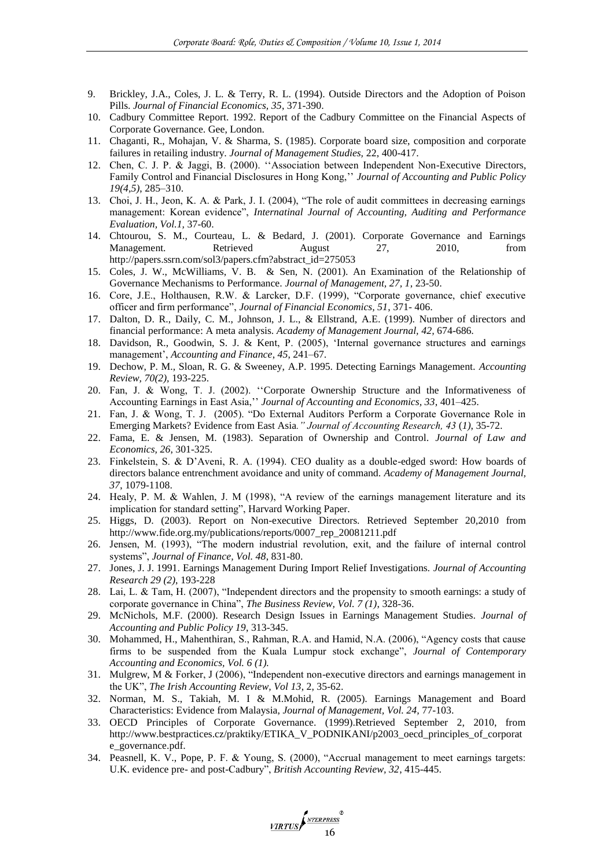- 9. Brickley, J.A., Coles, J. L. & Terry, R. L. (1994). Outside Directors and the Adoption of Poison Pills. *Journal of Financial Economics, 35*, 371-390.
- 10. Cadbury Committee Report. 1992. Report of the Cadbury Committee on the Financial Aspects of Corporate Governance. Gee, London.
- 11. Chaganti, R., Mohajan, V. & Sharma, S. (1985). Corporate board size, composition and corporate failures in retailing industry. *Journal of Management Studies,* 22, 400-417.
- 12. Chen, C. J. P. & Jaggi, B. (2000). ''Association between Independent Non-Executive Directors, Family Control and Financial Disclosures in Hong Kong,'' *Journal of Accounting and Public Policy 19(4,5)*, 285–310.
- 13. Choi, J. H., Jeon, K. A. & Park, J. I. (2004), "The role of audit committees in decreasing earnings management: Korean evidence", *Internatinal Journal of Accounting, Auditing and Performance Evaluation, Vol.1,* 37-60.
- 14. Chtourou, S. M., Courteau, L. & Bedard, J. (2001). Corporate Governance and Earnings Management. Retrieved August 27, 2010, from http://papers.ssrn.com/sol3/papers.cfm?abstract\_id=275053
- 15. Coles, J. W., McWilliams, V. B. & Sen, N. (2001). An Examination of the Relationship of Governance Mechanisms to Performance. *Journal of Management, 27, 1*, 23-50.
- 16. Core, J.E., Holthausen, R.W. & Larcker, D.F. (1999), "Corporate governance, chief executive officer and firm performance", *Journal of Financial Economics, 51*, 371- 406.
- 17. Dalton, D. R., Daily, C. M., Johnson, J. L., & Ellstrand, A.E. (1999). Number of directors and financial performance: A meta analysis. *Academy of Management Journal, 42,* 674-686.
- 18. Davidson, R., Goodwin, S. J. & Kent, P. (2005), 'Internal governance structures and earnings management', *Accounting and Finance*, *45*, 241–67.
- 19. Dechow, P. M., Sloan, R. G. & Sweeney, A.P. 1995. Detecting Earnings Management. *Accounting Review, 70(2),* 193-225.
- 20. Fan, J. & Wong, T. J. (2002). ''Corporate Ownership Structure and the Informativeness of Accounting Earnings in East Asia,'' *Journal of Accounting and Economics, 33*, 401–425.
- 21. Fan, J. & Wong, T. J. (2005). "Do External Auditors Perform a Corporate Governance Role in Emerging Markets? Evidence from East Asia*." Journal of Accounting Research, 43* (*1)*, 35-72.
- 22. Fama, E. & Jensen, M. (1983). Separation of Ownership and Control. *Journal of Law and Economics, 26*, 301-325.
- 23. Finkelstein, S. & D'Aveni, R. A. (1994). CEO duality as a double-edged sword: How boards of directors balance entrenchment avoidance and unity of command. *Academy of Management Journal, 37*, 1079-1108.
- 24. Healy, P. M. & Wahlen, J. M (1998), "A review of the earnings management literature and its implication for standard setting", Harvard Working Paper.
- 25. Higgs, D. (2003). Report on Non-executive Directors. Retrieved September 20,2010 from http://www.fide.org.my/publications/reports/0007\_rep\_20081211.pdf
- 26. Jensen, M. (1993), "The modern industrial revolution, exit, and the failure of internal control systems", *Journal of Finance, Vol. 48*, 831-80.
- 27. Jones, J. J. 1991. Earnings Management During Import Relief Investigations. *Journal of Accounting Research 29 (2)*, 193-228
- 28. Lai, L. & Tam, H. (2007), "Independent directors and the propensity to smooth earnings: a study of corporate governance in China", *The Business Review, Vol. 7 (1)*, 328-36.
- 29. McNichols, M.F. (2000). Research Design Issues in Earnings Management Studies. *Journal of Accounting and Public Policy 19*, 313-345.
- 30. Mohammed, H., Mahenthiran, S., Rahman, R.A. and Hamid, N.A. (2006), "Agency costs that cause firms to be suspended from the Kuala Lumpur stock exchange", *Journal of Contemporary Accounting and Economics, Vol. 6 (1).*
- 31. Mulgrew, M & Forker, J (2006), "Independent non-executive directors and earnings management in the UK", *The Irish Accounting Review, Vol 13*, 2, 35-62.
- 32. Norman, M. S., Takiah, M. I & M.Mohid, R. (2005). Earnings Management and Board Characteristics: Evidence from Malaysia, *Journal of Management, Vol. 24,* 77-103.
- 33. OECD Principles of Corporate Governance. (1999).Retrieved September 2, 2010, from http://www.bestpractices.cz/praktiky/ETIKA\_V\_PODNIKANI/p2003\_oecd\_principles\_of\_corporat e\_governance.pdf.
- 34. Peasnell, K. V., Pope, P. F. & Young, S. (2000), "Accrual management to meet earnings targets: U.K. evidence pre- and post-Cadbury", *British Accounting Review, 32*, 415-445.